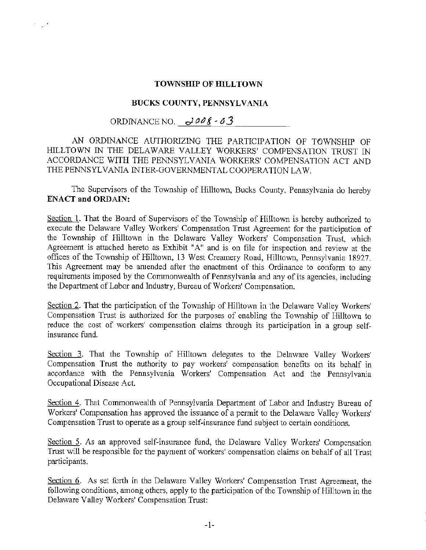## **TOWNSHIP OF HILLTOWN**

## **BUCKS COUNTY, PENNSYLVANIA**

## ORDINANCE NO.  $\frac{\partial}{\partial s}$  - 03

\_., .,

AN ORDINANCE AUTHORIZING THE PARTICIPATION OF TOWNSHIP OF HILLTOWN IN THE DELAWARE VALLEY WORKERS' COMPENSATION TRUST IN ACCORDANCE WITH THE PENNSYLVANIA WORKERS' COMPENSATION ACT AND THE PENNSYLVANIA INTER-GOVERNMENTAL COOPERATION LAW.

The Supervisors of the Township of Hilltown, Bucks County, Pennsylvania do hereby **ENACT and ORDAIN:** 

Section 1. That the Board of Supervisors of the Township of Hilltown is hereby authorized to execute the Delaware Valley Workers' Compensation Trust Agreement for the participation of the Township of Hilltown in the Delaware Valley Workers' Compensation Trust, which Agreement is attached hereto as Exhibit "A" and is on file for inspection and review at the offices of the Township of Hilltown, 13 West Creamery Road, Hilltown, Pennsylvania 18927. This Agreement may be amended after the enactment of this Ordinance to conform to any requirements imposed by the Commonwealth of Pennsylvania and any of its agencies, including the Department of Labor and Industry, Bureau of Workers' Compensation.

Section 2. That the participation of the Township of Hilltown in the Delaware Valley Workers' Compensation Trust is authorized for the purposes of enabling the Township of Hilltown to reduce the cost of workers' compensation claims through its participation in a group selfinsurance fund.

Section 3. That the Township of Hilltown delegates to the Delaware Valley Workers' Compensation Trust the authority to pay workers' compensation benefits on its behalf in accordance with the Pennsylvania Workers' Compensation Act and the Pennsylvania Occupational Disease Act.

Section 4. That Commonwealth of Pennsylvania Department of Labor and Industry Bureau of Workers' Compensation has approved the issuance of a permit to the Delaware Valley Workers' Compensation Trust to operate as a group self-insurance fund subject to certain conditions.

Section 5. As an approved self-insurance fund, the Delaware Valley Workers' Compensation Trust will be responsible for the payment of workers' compensation claims on behalf of all Trust participants.

Section 6. As set forth in the Delaware Valley Workers' Compensation Trust Agreement, the following conditions, among others, apply to the participation of the Township of Hilltown in the Delaware Valley Workers' Compensation Trust: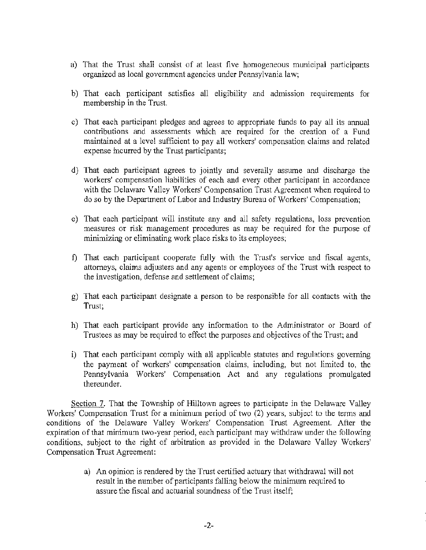- a) That the Trust shall consist of at least five homogeneous municipal participants organized as local government agencies under Pennsylvania law;
- b) That each participant satisfies all eligibility and admission requirements for membership in the Trust.
- c) That each participant pledges and agrees to appropriate funds to pay all its annual contributions and assessments which are required for the creation of a Fund maintained at a level sufficient to pay all workers' compensation claims and related expense incurred by the Trust participants;
- d) That each participant agrees to jointly and severally assume and discharge the workers' compensation liabilities of each and every other participant in accordance with the Delaware Valley Workers' Compensation Trust Agreement when required to do so by the Department of Labor and Industry Bureau of Workers' Compensation;
- e) That each participant will institute any and all safety regulations, loss prevention measures or risk management procedures as may be required for the purpose of minimizing or eliminating work place risks to its employees;
- f) That each participant cooperate folly with the Trust's service and fiscal agents, attorneys, claims adjusters and any agents or employees of the Trust with respect to the investigation, defense and settlement of claims;
- g) That each participant designate a person to be responsible for all contacts with the Trust;
- h) That each participant provide any information to the Administrator or Board of Trustees as may be required to effect the purposes and objectives of the Trust; and
- i) That each participant comply with all applicable statutes and regulations governing the payment of workers' compensation claims, including, but not limited to, the Pennsylvania Workers' Compensation Act and any regulations promulgated thereunder.

Section 7. That the Township of Hilltown agrees to participate in the Delaware Valley Workers' Compensation Trust for a minimum period of two (2) years, subject to the terms and conditions of the Delaware Valley Workers' Compensation Trust Agreement. After the expiration of that minimum two-year period, each participant may withdraw under the following conditions, subject to the right of arbitration as provided in the Delaware Valley Workers' Compensation Trust Agreement:

> a) An opinion is rendered by the Trust certified actuary that withdrawal will not result in the number of participants falling below the minimum required to assure the fiscal and actuarial soundness of the Trust itself;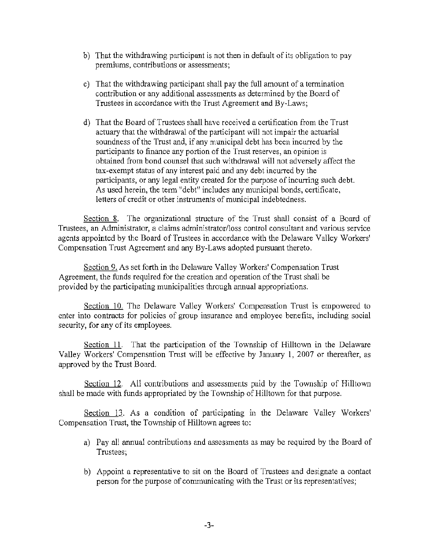- b) That the withdrawing participant is not then in default of its obligation to pay premiums. contributions or assessments;
- c) That the withdrawing participant shall pay the full amount of a termination contribution or any additional assessments as determined by the Board of Trustees in accordance with the Trust Agreement and By~Laws;
- d) That the Board of Trustees shall have received a certification from the Trust actuary that the withdrawal of the participant will not impair the actuarial soundness of the Trust and, if any municipal debt has been incurred by the participants to finance any portion of the Trust reserves, an opinion is obtained from bond counsel that such withdrawal will not adversely affect the tax-exempt status of any interest paid and any debt incurred by the participants, or any legal entity created for the purpose of incurring such debt. As used herein, the term "debt" includes any municipal bonds, certificate, letters of credit or other instruments of municipal indebtedness.

Section 8. The organizational structure of the Trust shall consist of a Board of Trustees, an Administrator, a claims administrator/loss control consultant and various service agents appointed by the Board of Trustees in accordance with the Delaware Valley Workers' Compensation Trust Agreement and any By-Laws adopted pursuant thereto.

Section 9. As set forth in the Delaware Valley Workers' Compensation Trust Agreement, the funds required for the creation and operation of the Trust shall be provided by the participating municipalities through annual appropriations.

Section 10. The Delaware Valley Workers' Compensation Trust is empowered to enter into contracts for policies of group insurance and employee benefits, including social security, for any of its employees.

Section 11. That the participation of the Township of Hilltown in the Delaware Valley Workers' Compensation Trust will be effective by January 1, 2007 or thereafter, as approved by the Trust Board.

Section 12. All contributions and assessments paid by the Township of Hilltown shall be made with ftmds appropriated by the Township of Hilltown for that purpose.

Section 13. As a condition of participating in the Delaware Valley Workers' Compensation Trust, the Township of Hilltown agrees to:

- a) Pay all annual contributions and assessments as may be required by the Board of Trustees;
- b) Appoint a representative to sit on the Board of Trustees and designate a contact person for the purpose of communicating with the Trust or its representatives;